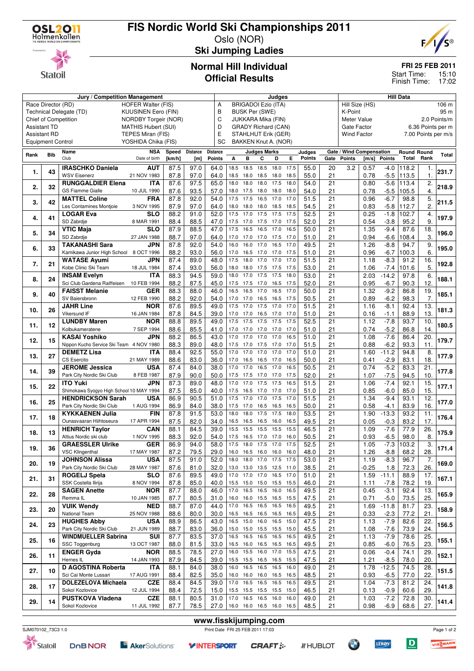

# **FIS Nordic World Ski Championships 2011**

Oslo (NOR)



Statoil

### **Ski Jumping Ladies**

#### **FRI 25 FEB 2011**

15:10 17:02 Start Time: Finish Time:

#### **Normal Hill Individual Official Results**

|                          |     | Jury / Competition Management            |                                          |                          |                 |                 | Judges                          |                            |                     |      | <b>Hill Data</b>                          |        |                 |                                  |         |               |                    |      |       |  |
|--------------------------|-----|------------------------------------------|------------------------------------------|--------------------------|-----------------|-----------------|---------------------------------|----------------------------|---------------------|------|-------------------------------------------|--------|-----------------|----------------------------------|---------|---------------|--------------------|------|-------|--|
| Race Director (RD)       |     |                                          | <b>HOFER Walter (FIS)</b>                |                          |                 | Α               |                                 | <b>BRIGADOI Ezio (ITA)</b> |                     |      |                                           |        |                 | Hill Size (HS)<br>106 m          |         |               |                    |      |       |  |
|                          |     | Technical Delegate (TD)                  | <b>KUUSINEN Eero (FIN)</b>               |                          |                 | B               |                                 | <b>BUSK Per (SWE)</b>      |                     |      |                                           |        |                 | K-Point                          |         |               |                    |      | 95 m  |  |
|                          |     | <b>Chief of Competition</b>              | <b>NORDBY Torgeir (NOR)</b>              |                          |                 | C               | JUKKARA Mika (FIN)              |                            |                     |      |                                           |        |                 | Meter Value<br>2.0 Points/m      |         |               |                    |      |       |  |
| <b>Assistant TD</b>      |     |                                          | <b>MATHIS Hubert (SUI)</b>               |                          |                 |                 | D<br><b>GRADY Richard (CAN)</b> |                            |                     |      |                                           |        |                 | Gate Factor<br>6.36 Points per m |         |               |                    |      |       |  |
| <b>Assistant RD</b>      |     |                                          |                                          | E<br>STAHLHUT Erik (GER) |                 |                 |                                 |                            |                     |      | <b>Wind Factor</b><br>7.00 Points per m/s |        |                 |                                  |         |               |                    |      |       |  |
| <b>Equipment Control</b> |     |                                          | TEPES Miran (FIS)<br>YOSHIDA Chika (FIS) |                          |                 | SC              |                                 | BAKKEN Knut A. (NOR)       |                     |      |                                           |        |                 |                                  |         |               |                    |      |       |  |
|                          |     |                                          |                                          |                          |                 |                 |                                 |                            |                     |      |                                           |        |                 |                                  |         |               |                    |      |       |  |
| Rank                     | Bib | Name                                     | <b>NSA</b>                               | Speed                    | <b>Distance</b> | <b>Distance</b> |                                 |                            | <b>Judges Marks</b> |      |                                           | Judges |                 | Gate / Wind Compensation         |         |               | <b>Round Round</b> | Rank | Total |  |
|                          |     | Club                                     | Date of birth                            | [km/h]                   | [m]             | Points          | А                               | в                          | С                   | D    | Е                                         | Points | Gate            | <b>Points</b>                    | [m/s]   | <b>Points</b> | Total              |      |       |  |
| 1.                       | 43  | <b>IRASCHKO Daniela</b>                  | <b>AUT</b>                               | 87.5                     | 97.0            | 64.0            | 18.5                            | 18.5                       | 18.5                | 18.0 | 17.5                                      | 55.0   | 20              | 3.2                              | 0.57    | $-4.0$        | 118.2              | 1.   | 231.7 |  |
|                          |     | <b>WSV Eisenerz</b>                      | 21 NOV 1983                              | 87.8                     | 97.0            | 64.0            | 18.5                            | 18.0                       | 18.5                | 18.0 | 18.5                                      | 55.0   | 21              |                                  | 0.78    | $-5.5$        | 113.5              | 1.   |       |  |
|                          |     | <b>RUNGGALDIER Elena</b>                 | <b>ITA</b>                               | 87.6                     | 97.5            | 65.0            | 18.0                            | 18.0                       | 18.0                | 17.5 | 18.0                                      | 54.0   | 21              |                                  | 0.80    | $-5.6$        | 113.4              | 2.   | 218.9 |  |
| 2.                       | 32  | <b>GS Fiamme Gialle</b>                  | 10 JUL 1990                              | 87.6                     | 93.5            | 57.0            | 18.0                            | 17.5                       | 18.0 18.0           |      | 18.0                                      | 54.0   | 21              |                                  | 0.78    | $-5.5$        | 105.5              | 4.   |       |  |
|                          |     | <b>MATTEL Coline</b>                     | <b>FRA</b>                               | 87.8                     | 92.0            | 54.0            | 17.5                            | 17.5                       | 16.5                | 17.0 | 17.0                                      | 51.5   | 21              |                                  | 0.96    | $-6.7$        | 98.8               | 5.   |       |  |
| 3.                       | 42  | Les Contamines Montjoie                  | 3 NOV 1995                               | 87.9                     | 97.0            | 64.0            | 18.0                            | 18.0                       | 18.0 18.5           |      | 18.5                                      | 54.5   | 21              |                                  | 0.83    | $-5.8$        | 112.7              | 2.   | 211.5 |  |
|                          |     | <b>LOGAR Eva</b>                         | <b>SLO</b>                               | 88.2                     | 91.0            | 52.0            | 17.5                            | 17.0                       | 17.5                | 17.5 | 17.5                                      | 52.5   | 21              |                                  | 0.25    | $-1.8$        | 102.7              | 4.   |       |  |
| 4.                       | 41  | SD Zabrdje                               | 8 MAR 1991                               | 88.4                     | 88.5            | 47.0            | 17.5                            | 17.0                       | 17.5 17.0           |      | 17.5                                      | 52.0   | 21              |                                  | 0.54    | $-3.8$        | 95.2               | 9.   | 197.9 |  |
|                          |     | VTIC Maja                                | <b>SLO</b>                               | 87.9                     | 88.5            | 47.0            | 17.5                            | 16.5                       | 16.5                | 17.0 | 16.5                                      | 50.0   | 21              |                                  | 1.35    | $-9.4$        | 87.6               | 18.  |       |  |
| 5.                       | 34  | SD Zabrdje                               |                                          | 88.7                     | 97.0            | 64.0            | 17.0                            | 17.0                       | 17.0                | 17.5 | 17.0                                      | 51.0   | 21              |                                  | 0.94    | $-6.6$        | 108.4              | 3.   | 196.0 |  |
|                          |     |                                          | 27 JAN 1988                              |                          |                 |                 |                                 |                            |                     |      |                                           |        |                 |                                  |         |               |                    |      |       |  |
| 6.                       | 33  | <b>TAKANASHI Sara</b>                    | JPN                                      | 87.8                     | 92.0            | 54.0            | 16.0                            | 16.0                       | 17.0                | 16.5 | 17.0                                      | 49.5   | 21              |                                  | 1.26    | $-8.8$        | 94.7               | 9.   | 195.0 |  |
|                          |     | Kamikawa Junior High School              | 8 OCT 1996                               | 88.2                     | 93.0            | 56.0            | 17.0                            | 16.5                       | 17.0 17.0           |      | 17.5                                      | 51.0   | 21              |                                  | 0.96    | $-6.7$        | 100.3              | 6.   |       |  |
| 7.                       | 21  | <b>WATASE Ayumi</b>                      | JPN                                      | 87.4                     | 89.0            | 48.0            | 17.5                            | 18.0                       | 17.0                | 17.0 | 17.0                                      | 51.5   | 21              |                                  | 1.18    | $-8.3$        | 91.2               | 16.  | 192.8 |  |
|                          |     | Kobe Clinic Ski Team                     | 18 JUL 1984                              | 87.4                     | 93.0            | 56.0            | 18.0                            | 18.0                       | 17.5 17.5           |      | 17.5                                      | 53.0   | 21              |                                  | 1.06    | $-7.4$        | 101.6              | 5.   |       |  |
| 8.                       | 24  | <b>INSAM Evelyn</b>                      | ITA                                      | 88.3                     | 94.5            | 59.0            | 18.0                            | 17.0                       | 17.5                | 17.5 | 18.0                                      | 53.0   | 21              |                                  | 2.03    | $-14.2$       | 97.8               | 6.   | 188.1 |  |
|                          |     | Sci Club Gardena Raiffeisen              | 10 FEB 1994                              | 88.2                     | 87.5            | 45.0            | 17.5                            | 17.5                       | 17.0 16.5           |      | 17.5                                      | 52.0   | 21              |                                  | 0.95    | $-6.7$        | 90.3               | 12.  |       |  |
|                          |     | <b>FAISST Melanie</b>                    | <b>GER</b>                               | 88.3                     | 88.0            | 46.0            | 16.5                            | 16.5                       | 17.0                | 16.5 | 17.0                                      | 50.0   | 21              |                                  | 1.32    | $-9.2$        | 86.8               | 19.  |       |  |
| 9.                       | 40  | SV Baiersbronn                           | 12 FEB 1990                              | 88.2                     | 92.0            | 54.0            | 17.0                            | 17.0                       | 16.5                | 16.5 | 17.5                                      | 50.5   | 21              |                                  | 0.89    | $-6.2$        | 98.3               | 7.   | 185.1 |  |
|                          |     | <b>JAHR Line</b>                         | <b>NOR</b>                               | 87.6                     | 89.5            | 49.0            | 17.5                            | 17.0                       | 17.5                | 17.0 | 17.0                                      | 51.5   | 21              |                                  | 1.16    | $-8.1$        | 92.4               | 13.  |       |  |
| 10.                      | 26  | Vikersund IF                             | 16 JAN 1984                              | 87.8                     | 84.5            | 39.0            | 17.0                            | 17.0                       | 16.5                | 17.0 | 17.0                                      | 51.0   | 21              |                                  | 0.16    | -1.1          | 88.9               | 13.  | 181.3 |  |
|                          |     | <b>LUNDBY Maren</b>                      | <b>NOR</b>                               | 88.8                     | 89.5            | 49.0            | 17.5                            | 17.5                       | 17.5                | 17.5 | 17.5                                      | 52.5   | 21              |                                  | 1.12    | $-7.8$        | 93.7               | 10.  |       |  |
| 11.                      | 12  | Kolbukameratene                          | 7 SEP 1994                               | 88.6                     | 85.5            | 41.0            | 17.0                            | 17.0                       | 17.0 17.0           |      | 17.0                                      | 51.0   | 21              |                                  | 0.74    | -5.2          | 86.8               | 14.  | 180.5 |  |
|                          |     | <b>KASAI Yoshiko</b>                     | JPN                                      | 88.2                     | 86.5            | 43.0            | 17.0                            | 17.0                       | 17.0                | 17.0 | 16.5                                      | 51.0   | 21              |                                  | 1.08    | $-7.6$        | 86.4               | 20.  |       |  |
| 12.                      | 15  | Nippon Kucho Service Ski Team 4 NOV 1980 |                                          |                          |                 | 48.0            | 17.5 17.0                       |                            | 17.5 17.0           |      | 17.0                                      | 51.5   | 21              |                                  | 0.88    |               |                    | 11.  | 179.7 |  |
|                          |     |                                          |                                          | 88.3                     | 89.0            |                 |                                 |                            |                     |      |                                           |        |                 |                                  |         | $-6.2$        | 93.3               |      |       |  |
| 13.                      | 27  | <b>DEMETZ Lisa</b>                       | <b>ITA</b>                               | 88.4                     | 92.5            | 55.0            | 17.0                            | 17.0                       | 17.0                | 17.0 | 17.0                                      | 51.0   | 21              |                                  | 1.60    | $-11.2$       | 94.8               | 8.   | 177.9 |  |
|                          |     | <b>CS Esercito</b>                       | 21 MAY 1989                              | 88.6                     | 83.0            | 36.0            | 17.0                            | 16.5                       | 16.5 17.0           |      | 16.5                                      | 50.0   | 21              |                                  | 0.41    | $-2.9$        | 83.1               | 18.  |       |  |
| 14.                      | 39  | <b>JEROME Jessica</b>                    | <b>USA</b>                               | 87.4                     | 84.0            | 38.0            | 17.0                            | 17.0                       | 16.5                | 17.0 | 16.5                                      | 50.5   | 21              |                                  | 0.74    | $-5.2$        | 83.3               | 21.  | 177.8 |  |
|                          |     | Park City Nordic Ski Club                | 8 FEB 1987                               | 87.9                     | 90.0            | 50.0            | 17.5                            | 17.5                       | 17.0 17.0           |      | 17.5                                      | 52.0   | 21              |                                  | 1.07    | $-7.5$        | 94.5               | 10.  |       |  |
| 15.                      | 22  | <b>ITO Yuki</b>                          | <b>JPN</b>                               | 87.3                     | 89.0            | 48.0            | 17.0                            | 17.0                       | 17.5                | 17.5 | 16.5                                      | 51.5   | 21              |                                  | 1.06    | $-7.4$        | 92.1               | 15.  | 177.1 |  |
|                          |     | Shimokawa Syogyo High School 10 MAY 1994 |                                          | 87.5                     | 85.0            | 40.0            | 17.5                            | 16.5                       | 17.0                | 17.0 | 17.0                                      | 51.0   | 21              |                                  | 0.85    | $-6.0$        | 85.0               | 15.  |       |  |
|                          |     | <b>HENDRICKSON Sarah</b>                 | <b>USA</b>                               | 86.9                     | 90.5            | 51.0            | 17.5                            | 17.0                       | 17.0                | 17.5 | 17.0                                      | 51.5   | 21              |                                  | 1.34    | $-9.4$        | 93.1               | 12.  |       |  |
| 16.                      | 25  | Park City Nordic Ski Club                | 1 AUG 1994                               | 86.9                     | 84.0            | 38.0            | 17.5 17.0                       |                            | 16.5 16.5           |      | 16.5                                      | 50.0   | 21              |                                  | 0.58    | -4.1          | 83.9               | 16.  | 177.0 |  |
|                          |     | <b>KYKKAENEN Julia</b>                   | <b>FIN</b>                               | 87.8                     | 91.5            | 53.0            | 18.0                            | 18.0                       | 17.5                | 17.5 | 18.0                                      | 53.5   | $\overline{21}$ |                                  | 1.90    | $-13.3$       | 93.2               | 11.  |       |  |
| 17.                      | 18  | Ounasvaaran Hiihtoseura                  | 17 APR 1994                              | 87.5                     | 82.0            | 34.0            | 16.5                            | 16.5                       | 16.5 16.0           |      | 16.5                                      | 49.5   | 21              |                                  | 0.05    | $-0.3$        | 83.2               | 17.  | 176.4 |  |
|                          |     | <b>HENRICH Taylor</b>                    | <b>CAN</b>                               | 88.1                     | 84.5            | 39.0            | 15.5                            | 15.5                       | 15.5                | 15.5 | 15.5                                      | 46.5   | 21              |                                  | 1.09    | $-7.6$        | 77.9               | 26.  |       |  |
| 18.                      | 13  | Altius Nordic ski club                   | 1 NOV 1995                               | 88.3                     | 92.0            | 54.0            | 17.5                            | 16.5                       | 17.0                | 17.0 | 16.0                                      | 50.5   | 21              |                                  | 0.93    | $-6.5$        | 98.0               | 8.   | 175.9 |  |
|                          |     | <b>GRAESSLER Ulrike</b>                  | <b>GER</b>                               | 86.9                     | 94.0            | 58.0            |                                 | 17.5 18.0 17.5 17.0        |                     |      | 17.5                                      | 52.5   | 21              |                                  | 1.05    | $-7.3$        | 103.2              | 3.   |       |  |
| 19.                      | 36  |                                          |                                          |                          |                 |                 |                                 |                            |                     |      |                                           |        |                 |                                  |         |               |                    |      | 171.4 |  |
|                          |     | <b>VSC Klingenthal</b>                   | 17 MAY 1987                              | 87.2                     | 79.5            | 29.0            |                                 | 16.0 16.5 16.0 16.0 16.0   |                     |      |                                           | 48.0   | 21              |                                  | 1.26    | $-8.8$        | 68.2               | 28.  |       |  |
| 20.                      | 19  | <b>JOHNSON Alissa</b>                    | <b>USA</b>                               | 87.5                     | 91.0            | 52.0            |                                 | 18.0 18.0 17.0 17.5 17.5   |                     |      |                                           | 53.0   | 21              |                                  | 1.19    | $-8.3$        | 96.7               | 7.   | 169.0 |  |
|                          |     | Park City Nordic Ski Club                | 28 MAY 1987                              | 87.6                     | 81.0            | 32.0            |                                 | 13.0 13.0 13.5 12.5 11.0   |                     |      |                                           | 38.5   | 21              |                                  | $-0.25$ | 1.8           | 72.3               | 26.  |       |  |
| 21.                      | 31  | <b>ROGELJ Spela</b>                      | <b>SLO</b>                               | 87.6                     | 89.5            | 49.0            |                                 | 17.0 17.0 17.0 16.5 17.0   |                     |      |                                           | 51.0   | 21              |                                  | 1.59    | $-11.1$       | 88.9               | 17.  | 167.1 |  |
|                          |     | SSK Costella Ilirija                     | 8 NOV 1994                               | 87.8                     | 85.0            | 40.0            |                                 | 15.5 15.0 15.0 15.5 15.5   |                     |      |                                           | 46.0   | 21              |                                  | 1.11    | -7.8          | 78.2               | 19.  |       |  |
| 22.                      | 28  | <b>SAGEN Anette</b>                      | <b>NOR</b>                               | 87.7                     | 88.0            | 46.0            | 17.0                            | 16.5 16.5                  |                     | 16.0 | 16.5                                      | 49.5   | 21              |                                  | 0.45    | $-3.1$        | 92.4               | 13.  | 165.9 |  |
|                          |     | Remma <sub>IL</sub>                      | 10 JAN 1985                              | 87.7                     | 80.5            | 31.0            |                                 | 16.0 16.0 15.5 16.5 15.5   |                     |      |                                           | 47.5   | 21              |                                  | 0.71    | $-5.0$        | 73.5               | 25.  |       |  |
|                          |     | <b>VUIK Wendy</b>                        | <b>NED</b>                               | 88.7                     | 87.0            | 44.0            | 17.0                            | 16.5 16.5                  |                     | 16.5 | 16.5                                      | 49.5   | 21              |                                  | 1.69    | $-11.8$       | 81.7               | 23.  |       |  |
| 23.                      | 20  | National Team                            | 25 NOV 1988                              | 88.6                     | 80.0            | 30.0            |                                 | 16.5 16.5 16.5 16.5 16.5   |                     |      |                                           | 49.5   | 21              |                                  | 0.33    | $-2.3$        | 77.2               | 21.  | 158.9 |  |
|                          |     | <b>HUGHES Abby</b>                       | USA                                      | 88.9                     | 86.5            | 43.0            | 16.5 15.0                       |                            | 16.0                | 16.5 | 15.0                                      | 47.5   | 21              |                                  | 1.13    | $-7.9$        | 82.6               | 22.  |       |  |
| 24.                      | 23  | Park City Nordic Ski Club                | 21 JUN 1989                              | 88.7                     | 83.0            | 36.0            |                                 | 15.0 15.0 15.5 15.5 15.0   |                     |      |                                           | 45.5   | 21              |                                  | 1.08    | $-7.6$        | 73.9               | 24.  | 156.5 |  |
|                          |     | <b>WINDMUELLER Sabrina</b>               | <b>SUI</b>                               | 87.7                     | 83.5            | 37.0            |                                 | 16.5 16.5 16.5 16.5        |                     |      | 16.5                                      | 49.5   | 21              |                                  | 1.13    | $-7.9$        | 78.6               | 25.  |       |  |
| 25.                      | 16  | SSC Toggenburg                           | 13 OCT 1987                              |                          |                 |                 |                                 | 16.5 16.0 16.5 16.5 16.5   |                     |      |                                           | 49.5   |                 |                                  |         |               |                    | 23.  | 155.1 |  |
|                          |     |                                          |                                          | 88.0                     | 81.5            | 33.0            |                                 |                            |                     |      |                                           |        | 21              |                                  | 0.85    | $-6.0$        | 76.5               |      |       |  |
| 26.                      | 11  | <b>ENGER Gyda</b>                        | <b>NOR</b>                               | 88.5                     | 78.5            | 27.0            |                                 | 16.0 15.5 16.0 17.0        |                     |      | 15.5                                      | 47.5   | 21              |                                  | 0.06    | $-0.4$        | 74.1               | 29.  | 152.1 |  |
|                          |     | Hernes IL                                | 14 JAN 1993                              | 87.9                     | 84.5            | 39.0            |                                 | 15.5 15.5 16.5 16.5 15.5   |                     |      |                                           | 47.5   | 21              |                                  | 1.21    | $-8.5$        | 78.0               | 20.  |       |  |
| 27.                      | 10  | D AGOSTINA Roberta                       | <b>ITA</b>                               | 88.1                     | 84.0            | 38.0            | 16.0                            | 16.5 16.5 16.5 16.0        |                     |      |                                           | 49.0   | 21              |                                  | 1.78    | $-12.5$       | 74.5               | 28.  | 151.5 |  |
|                          |     | Sci Cai Monte Lussari                    | 17 AUG 1991                              | 88.4                     | 82.5            | 35.0            |                                 | 16.0 16.0 16.0 16.5 16.5   |                     |      |                                           | 48.5   | 21              |                                  | 0.93    | $-6.5$        | 77.0               | 22.  |       |  |
| 28.                      | 17  | <b>DOLEZELOVA Michaela</b>               | <b>CZE</b>                               | 88.4                     | 84.5            | 39.0            | 17.0                            | 16.5 16.5 16.5             |                     |      | 16.5                                      | 49.5   | 21              |                                  | 1.04    | $-7.3$        | 81.2               | 24.  | 141.8 |  |
|                          |     | Sokol Kozlovice                          | 12 JUL 1994                              | 88.4                     | 72.5            | 15.0            |                                 | 15.5 15.5 15.5 15.5 15.0   |                     |      |                                           | 46.5   | 21              |                                  | 0.13    | $-0.9$        | 60.6               | 29.  |       |  |
| 29.                      | 14  | <b>PUSTKOVA Vladena</b>                  | <b>CZE</b>                               | 88.1                     | 80.5            | 31.0            | 17.0                            | 16.5 16.5 16.0             |                     |      | 16.0                                      | 49.0   | 21              |                                  | 1.03    | $-7.2$        | 72.8               | 30.  | 141.4 |  |
|                          |     | Sokol Kozlovice                          | 11 JUL 1992                              | 87.7                     | 78.5            | 27.0            |                                 | 16.0 16.0 16.5 16.0 16.5   |                     |      |                                           | 48.5   | 21              |                                  | 0.98    | $-6.9$        | 68.6               | 27.  |       |  |
|                          |     |                                          |                                          |                          |                 |                 |                                 |                            |                     |      |                                           |        |                 |                                  |         |               |                    |      |       |  |





**Y INTERSPORT** 

**www.fisskijumping.com**





Page 1 of 2VIESMANN